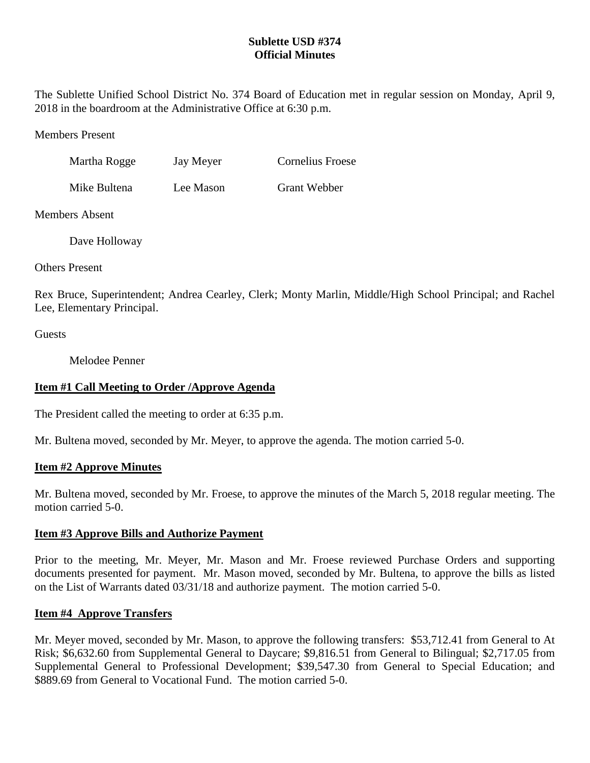# **Sublette USD #374 Official Minutes**

The Sublette Unified School District No. 374 Board of Education met in regular session on Monday, April 9, 2018 in the boardroom at the Administrative Office at 6:30 p.m.

Members Present

| Martha Rogge | Jay Meyer | <b>Cornelius Froese</b> |
|--------------|-----------|-------------------------|
|              |           |                         |

Mike Bultena Lee Mason Grant Webber

Members Absent

Dave Holloway

Others Present

Rex Bruce, Superintendent; Andrea Cearley, Clerk; Monty Marlin, Middle/High School Principal; and Rachel Lee, Elementary Principal.

Guests

Melodee Penner

# **Item #1 Call Meeting to Order /Approve Agenda**

The President called the meeting to order at 6:35 p.m.

Mr. Bultena moved, seconded by Mr. Meyer, to approve the agenda. The motion carried 5-0.

## **Item #2 Approve Minutes**

Mr. Bultena moved, seconded by Mr. Froese, to approve the minutes of the March 5, 2018 regular meeting. The motion carried 5-0.

## **Item #3 Approve Bills and Authorize Payment**

Prior to the meeting, Mr. Meyer, Mr. Mason and Mr. Froese reviewed Purchase Orders and supporting documents presented for payment. Mr. Mason moved, seconded by Mr. Bultena, to approve the bills as listed on the List of Warrants dated 03/31/18 and authorize payment. The motion carried 5-0.

## **Item #4 Approve Transfers**

Mr. Meyer moved, seconded by Mr. Mason, to approve the following transfers: \$53,712.41 from General to At Risk; \$6,632.60 from Supplemental General to Daycare; \$9,816.51 from General to Bilingual; \$2,717.05 from Supplemental General to Professional Development; \$39,547.30 from General to Special Education; and \$889.69 from General to Vocational Fund. The motion carried 5-0.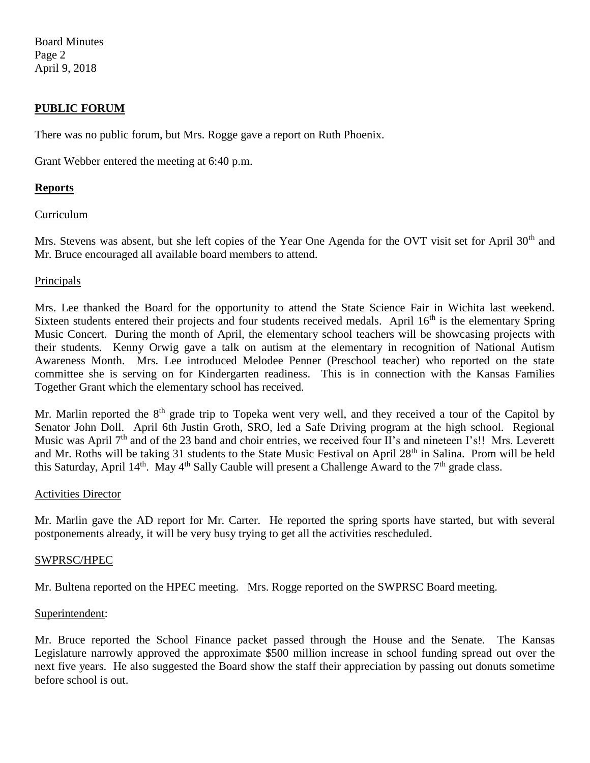Board Minutes Page 2 April 9, 2018

### **PUBLIC FORUM**

There was no public forum, but Mrs. Rogge gave a report on Ruth Phoenix.

Grant Webber entered the meeting at 6:40 p.m.

### **Reports**

### Curriculum

Mrs. Stevens was absent, but she left copies of the Year One Agenda for the OVT visit set for April 30<sup>th</sup> and Mr. Bruce encouraged all available board members to attend.

#### Principals

Mrs. Lee thanked the Board for the opportunity to attend the State Science Fair in Wichita last weekend. Sixteen students entered their projects and four students received medals. April 16<sup>th</sup> is the elementary Spring Music Concert. During the month of April, the elementary school teachers will be showcasing projects with their students. Kenny Orwig gave a talk on autism at the elementary in recognition of National Autism Awareness Month. Mrs. Lee introduced Melodee Penner (Preschool teacher) who reported on the state committee she is serving on for Kindergarten readiness. This is in connection with the Kansas Families Together Grant which the elementary school has received.

Mr. Marlin reported the  $8<sup>th</sup>$  grade trip to Topeka went very well, and they received a tour of the Capitol by Senator John Doll. April 6th Justin Groth, SRO, led a Safe Driving program at the high school. Regional Music was April 7<sup>th</sup> and of the 23 band and choir entries, we received four II's and nineteen I's!! Mrs. Leverett and Mr. Roths will be taking 31 students to the State Music Festival on April 28th in Salina. Prom will be held this Saturday, April 14<sup>th</sup>. May 4<sup>th</sup> Sally Cauble will present a Challenge Award to the 7<sup>th</sup> grade class.

#### Activities Director

Mr. Marlin gave the AD report for Mr. Carter. He reported the spring sports have started, but with several postponements already, it will be very busy trying to get all the activities rescheduled.

#### SWPRSC/HPEC

Mr. Bultena reported on the HPEC meeting. Mrs. Rogge reported on the SWPRSC Board meeting.

### Superintendent:

Mr. Bruce reported the School Finance packet passed through the House and the Senate. The Kansas Legislature narrowly approved the approximate \$500 million increase in school funding spread out over the next five years. He also suggested the Board show the staff their appreciation by passing out donuts sometime before school is out.